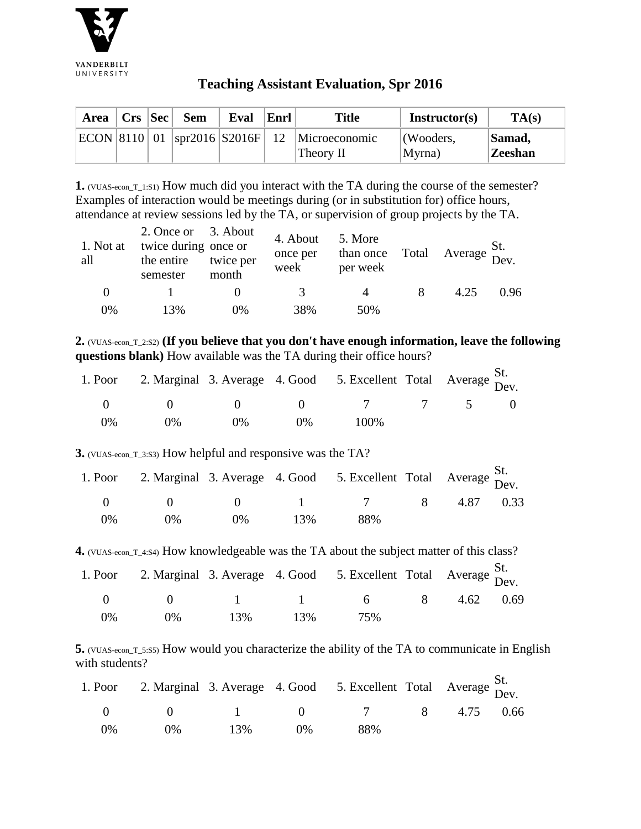

## **Teaching Assistant Evaluation, Spr 2016**

|  | Area   Crs   Sec   Sem | Eval | Enrl | <b>Title</b>                                    | Instructor(s) | TA(s)          |
|--|------------------------|------|------|-------------------------------------------------|---------------|----------------|
|  |                        |      |      | $ ECON 8110 01$ spr2016 S2016F 12 Microeconomic | (Wooders,     | Samad,         |
|  |                        |      |      | Theory II                                       | Myrna)        | <b>Zeeshan</b> |

**1.** (VUAS-econ\_T\_1:S1) How much did you interact with the TA during the course of the semester? Examples of interaction would be meetings during (or in substitution for) office hours, attendance at review sessions led by the TA, or supervision of group projects by the TA.

| 1. Not at<br>all | 2. Once or 3. About<br>twice during once or<br>the entire<br>semester | twice per<br>month | 4. About<br>once per<br>week | 5. More<br>than once<br>per week | Total | $\overline{A}$ Average $\overline{D}$ ev |      |
|------------------|-----------------------------------------------------------------------|--------------------|------------------------------|----------------------------------|-------|------------------------------------------|------|
| $\theta$         |                                                                       |                    | 3.                           | $\Delta$                         | 8     | 4.25                                     | 0.96 |
| 0%               | 13%                                                                   | 0%                 | 38%                          | 50%                              |       |                                          |      |

**2.** (VUAS-econ\_T\_2:S2) **(If you believe that you don't have enough information, leave the following questions blank)** How available was the TA during their office hours?

|    |       |            |       | 1. Poor 2. Marginal 3. Average 4. Good 5. Excellent Total Average St. |  |  |
|----|-------|------------|-------|-----------------------------------------------------------------------|--|--|
|    |       | $\sim$ 0 0 |       | $\begin{array}{ccccccc} 0 & 7 & 7 & 5 & 0 \end{array}$                |  |  |
| 0% | $0\%$ | $( )\%$    | $0\%$ | 100\%                                                                 |  |  |

**3.** (VUAS-econ\_T\_3:S3) How helpful and responsive was the TA?

|    |       |       |     | 1. Poor 2. Marginal 3. Average 4. Good 5. Excellent Total Average St. |  |  |
|----|-------|-------|-----|-----------------------------------------------------------------------|--|--|
|    |       |       |     | 0 0 0 1 7 8 4.87 0.33                                                 |  |  |
| 0% | $0\%$ | $0\%$ | 13% | 88%                                                                   |  |  |

**4.** (VUAS-econ\_T\_4:S4) How knowledgeable was the TA about the subject matter of this class?

|    |       |     |     | 1. Poor 2. Marginal 3. Average 4. Good 5. Excellent Total Average St.    |  |  |
|----|-------|-----|-----|--------------------------------------------------------------------------|--|--|
|    |       |     |     | $0 \qquad 0 \qquad 1 \qquad 1 \qquad 6 \qquad 8 \qquad 4.62 \qquad 0.69$ |  |  |
| 0% | $0\%$ | 13% | 13% | 75%                                                                      |  |  |

**5.** (VUAS-econ\_T\_5:S5) How would you characterize the ability of the TA to communicate in English with students?

|            |       |     |       | 1. Poor 2. Marginal 3. Average 4. Good 5. Excellent Total Average St. |  |  |
|------------|-------|-----|-------|-----------------------------------------------------------------------|--|--|
|            |       |     |       | 0 	 0 	 1 	 0 	 7 	 8 	 4.75 	 0.66                                   |  |  |
| $\Omega\%$ | $0\%$ | 13% | $0\%$ | 88%                                                                   |  |  |